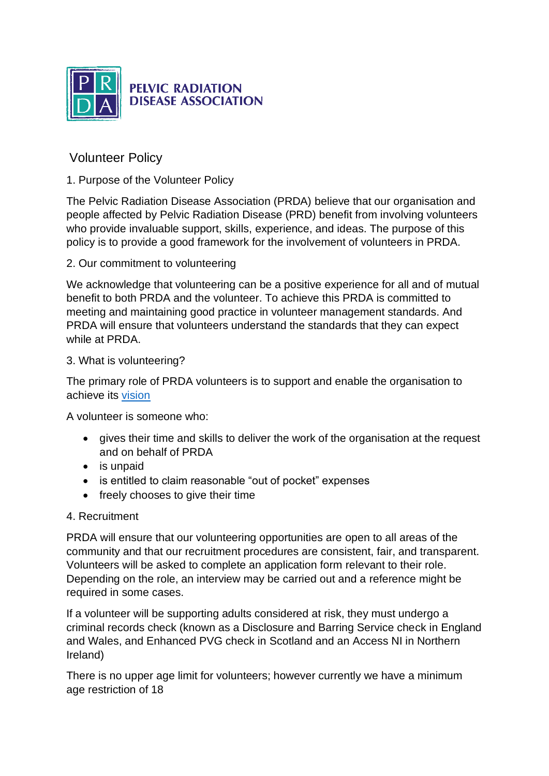

# **PELVIC RADIATION DISEASE ASSOCIATION**

# Volunteer Policy

# 1. Purpose of the Volunteer Policy

The Pelvic Radiation Disease Association (PRDA) believe that our organisation and people affected by Pelvic Radiation Disease (PRD) benefit from involving volunteers who provide invaluable support, skills, experience, and ideas. The purpose of this policy is to provide a good framework for the involvement of volunteers in PRDA.

# 2. Our commitment to volunteering

We acknowledge that volunteering can be a positive experience for all and of mutual benefit to both PRDA and the volunteer. To achieve this PRDA is committed to meeting and maintaining good practice in volunteer management standards. And PRDA will ensure that volunteers understand the standards that they can expect while at PRDA

# 3. What is volunteering?

The primary role of PRDA volunteers is to support and enable the organisation to achieve its [vision](https://www.prda.org.uk/about-prda/pelvic-radiation-disease-association-vision/)

A volunteer is someone who:

- gives their time and skills to deliver the work of the organisation at the request and on behalf of PRDA
- is unpaid
- is entitled to claim reasonable "out of pocket" expenses
- freely chooses to give their time

# 4. Recruitment

PRDA will ensure that our volunteering opportunities are open to all areas of the community and that our recruitment procedures are consistent, fair, and transparent. Volunteers will be asked to complete an application form relevant to their role. Depending on the role, an interview may be carried out and a reference might be required in some cases.

If a volunteer will be supporting adults considered at risk, they must undergo a criminal records check (known as a Disclosure and Barring Service check in England and Wales, and Enhanced PVG check in Scotland and an Access NI in Northern Ireland)

There is no upper age limit for volunteers; however currently we have a minimum age restriction of 18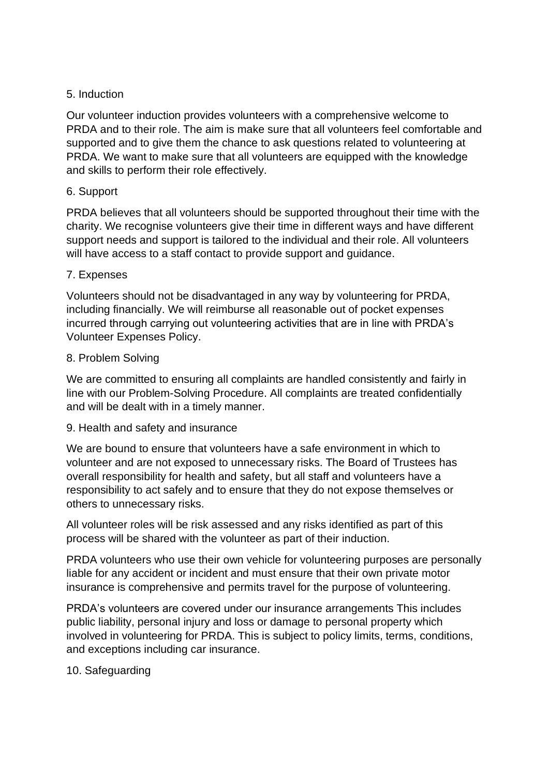### 5. Induction

Our volunteer induction provides volunteers with a comprehensive welcome to PRDA and to their role. The aim is make sure that all volunteers feel comfortable and supported and to give them the chance to ask questions related to volunteering at PRDA. We want to make sure that all volunteers are equipped with the knowledge and skills to perform their role effectively.

### 6. Support

PRDA believes that all volunteers should be supported throughout their time with the charity. We recognise volunteers give their time in different ways and have different support needs and support is tailored to the individual and their role. All volunteers will have access to a staff contact to provide support and guidance.

### 7. Expenses

Volunteers should not be disadvantaged in any way by volunteering for PRDA, including financially. We will reimburse all reasonable out of pocket expenses incurred through carrying out volunteering activities that are in line with PRDA's Volunteer Expenses Policy.

### 8. Problem Solving

We are committed to ensuring all complaints are handled consistently and fairly in line with our Problem-Solving Procedure. All complaints are treated confidentially and will be dealt with in a timely manner.

#### 9. Health and safety and insurance

We are bound to ensure that volunteers have a safe environment in which to volunteer and are not exposed to unnecessary risks. The Board of Trustees has overall responsibility for health and safety, but all staff and volunteers have a responsibility to act safely and to ensure that they do not expose themselves or others to unnecessary risks.

All volunteer roles will be risk assessed and any risks identified as part of this process will be shared with the volunteer as part of their induction.

PRDA volunteers who use their own vehicle for volunteering purposes are personally liable for any accident or incident and must ensure that their own private motor insurance is comprehensive and permits travel for the purpose of volunteering.

PRDA's volunteers are covered under our insurance arrangements This includes public liability, personal injury and loss or damage to personal property which involved in volunteering for PRDA. This is subject to policy limits, terms, conditions, and exceptions including car insurance.

# 10. Safeguarding